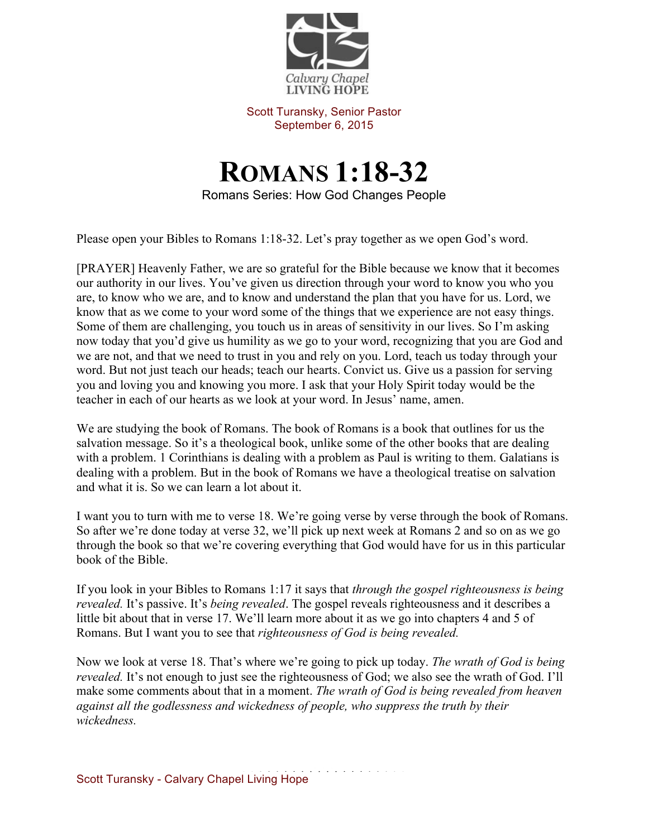

Scott Turansky, Senior Pastor September 6, 2015

## **ROMANS 1:18-32**

Romans Series: How God Changes People

Please open your Bibles to Romans 1:18-32. Let's pray together as we open God's word.

[PRAYER] Heavenly Father, we are so grateful for the Bible because we know that it becomes our authority in our lives. You've given us direction through your word to know you who you are, to know who we are, and to know and understand the plan that you have for us. Lord, we know that as we come to your word some of the things that we experience are not easy things. Some of them are challenging, you touch us in areas of sensitivity in our lives. So I'm asking now today that you'd give us humility as we go to your word, recognizing that you are God and we are not, and that we need to trust in you and rely on you. Lord, teach us today through your word. But not just teach our heads; teach our hearts. Convict us. Give us a passion for serving you and loving you and knowing you more. I ask that your Holy Spirit today would be the teacher in each of our hearts as we look at your word. In Jesus' name, amen.

We are studying the book of Romans. The book of Romans is a book that outlines for us the salvation message. So it's a theological book, unlike some of the other books that are dealing with a problem. 1 Corinthians is dealing with a problem as Paul is writing to them. Galatians is dealing with a problem. But in the book of Romans we have a theological treatise on salvation and what it is. So we can learn a lot about it.

I want you to turn with me to verse 18. We're going verse by verse through the book of Romans. So after we're done today at verse 32, we'll pick up next week at Romans 2 and so on as we go through the book so that we're covering everything that God would have for us in this particular book of the Bible.

If you look in your Bibles to Romans 1:17 it says that *through the gospel righteousness is being revealed.* It's passive. It's *being revealed*. The gospel reveals righteousness and it describes a little bit about that in verse 17. We'll learn more about it as we go into chapters 4 and 5 of Romans. But I want you to see that *righteousness of God is being revealed.* 

Now we look at verse 18. That's where we're going to pick up today. *The wrath of God is being revealed.* It's not enough to just see the righteousness of God; we also see the wrath of God. I'll make some comments about that in a moment. *The wrath of God is being revealed from heaven against all the godlessness and wickedness of people, who suppress the truth by their wickedness.*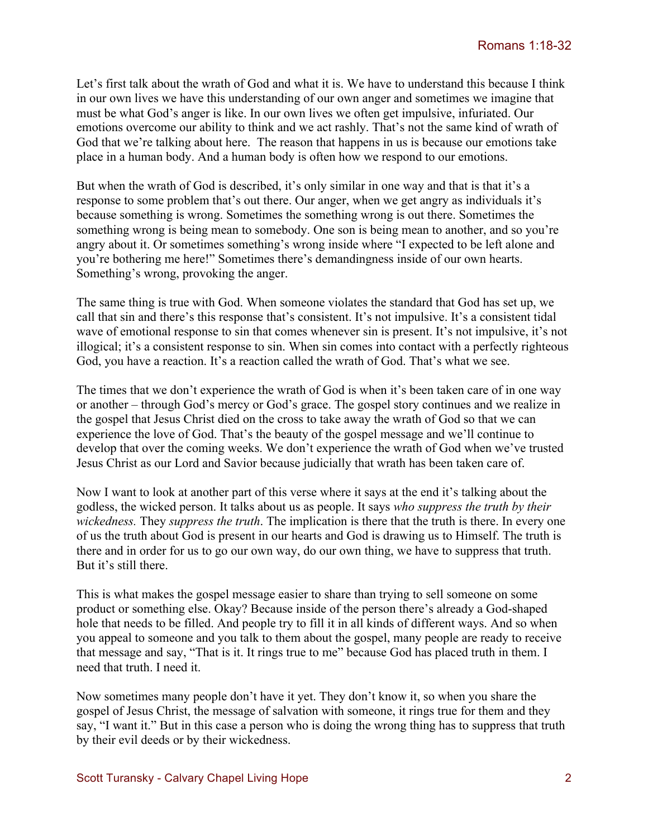Let's first talk about the wrath of God and what it is. We have to understand this because I think in our own lives we have this understanding of our own anger and sometimes we imagine that must be what God's anger is like. In our own lives we often get impulsive, infuriated. Our emotions overcome our ability to think and we act rashly. That's not the same kind of wrath of God that we're talking about here. The reason that happens in us is because our emotions take place in a human body. And a human body is often how we respond to our emotions.

But when the wrath of God is described, it's only similar in one way and that is that it's a response to some problem that's out there. Our anger, when we get angry as individuals it's because something is wrong. Sometimes the something wrong is out there. Sometimes the something wrong is being mean to somebody. One son is being mean to another, and so you're angry about it. Or sometimes something's wrong inside where "I expected to be left alone and you're bothering me here!" Sometimes there's demandingness inside of our own hearts. Something's wrong, provoking the anger.

The same thing is true with God. When someone violates the standard that God has set up, we call that sin and there's this response that's consistent. It's not impulsive. It's a consistent tidal wave of emotional response to sin that comes whenever sin is present. It's not impulsive, it's not illogical; it's a consistent response to sin. When sin comes into contact with a perfectly righteous God, you have a reaction. It's a reaction called the wrath of God. That's what we see.

The times that we don't experience the wrath of God is when it's been taken care of in one way or another – through God's mercy or God's grace. The gospel story continues and we realize in the gospel that Jesus Christ died on the cross to take away the wrath of God so that we can experience the love of God. That's the beauty of the gospel message and we'll continue to develop that over the coming weeks. We don't experience the wrath of God when we've trusted Jesus Christ as our Lord and Savior because judicially that wrath has been taken care of.

Now I want to look at another part of this verse where it says at the end it's talking about the godless, the wicked person. It talks about us as people. It says *who suppress the truth by their wickedness.* They *suppress the truth*. The implication is there that the truth is there. In every one of us the truth about God is present in our hearts and God is drawing us to Himself. The truth is there and in order for us to go our own way, do our own thing, we have to suppress that truth. But it's still there.

This is what makes the gospel message easier to share than trying to sell someone on some product or something else. Okay? Because inside of the person there's already a God-shaped hole that needs to be filled. And people try to fill it in all kinds of different ways. And so when you appeal to someone and you talk to them about the gospel, many people are ready to receive that message and say, "That is it. It rings true to me" because God has placed truth in them. I need that truth. I need it.

Now sometimes many people don't have it yet. They don't know it, so when you share the gospel of Jesus Christ, the message of salvation with someone, it rings true for them and they say, "I want it." But in this case a person who is doing the wrong thing has to suppress that truth by their evil deeds or by their wickedness.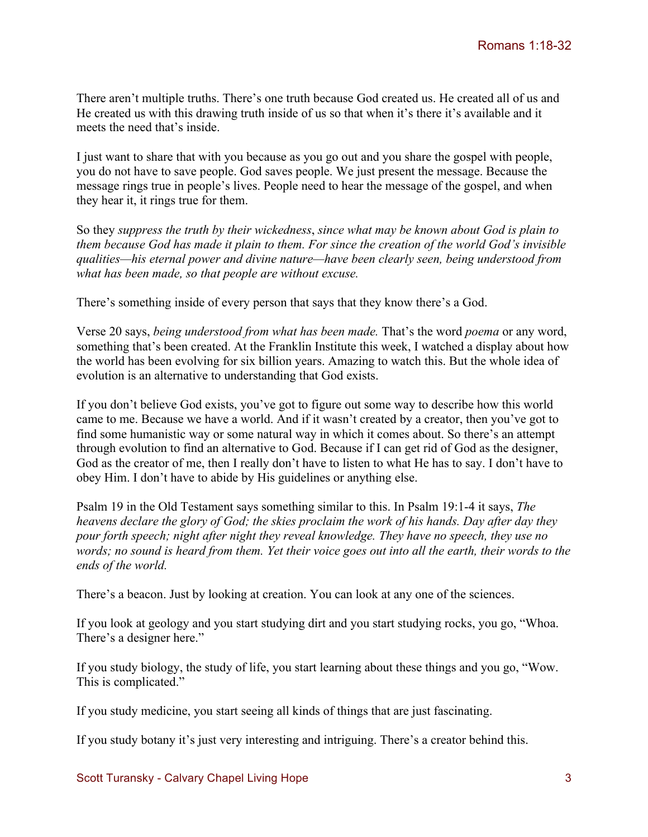There aren't multiple truths. There's one truth because God created us. He created all of us and He created us with this drawing truth inside of us so that when it's there it's available and it meets the need that's inside.

I just want to share that with you because as you go out and you share the gospel with people, you do not have to save people. God saves people. We just present the message. Because the message rings true in people's lives. People need to hear the message of the gospel, and when they hear it, it rings true for them.

So they *suppress the truth by their wickedness*, *since what may be known about God is plain to them because God has made it plain to them. For since the creation of the world God's invisible qualities—his eternal power and divine nature—have been clearly seen, being understood from what has been made, so that people are without excuse.* 

There's something inside of every person that says that they know there's a God.

Verse 20 says, *being understood from what has been made.* That's the word *poema* or any word, something that's been created. At the Franklin Institute this week, I watched a display about how the world has been evolving for six billion years. Amazing to watch this. But the whole idea of evolution is an alternative to understanding that God exists.

If you don't believe God exists, you've got to figure out some way to describe how this world came to me. Because we have a world. And if it wasn't created by a creator, then you've got to find some humanistic way or some natural way in which it comes about. So there's an attempt through evolution to find an alternative to God. Because if I can get rid of God as the designer, God as the creator of me, then I really don't have to listen to what He has to say. I don't have to obey Him. I don't have to abide by His guidelines or anything else.

Psalm 19 in the Old Testament says something similar to this. In Psalm 19:1-4 it says, *The heavens declare the glory of God; the skies proclaim the work of his hands. Day after day they pour forth speech; night after night they reveal knowledge. They have no speech, they use no words; no sound is heard from them. Yet their voice goes out into all the earth, their words to the ends of the world.*

There's a beacon. Just by looking at creation. You can look at any one of the sciences.

If you look at geology and you start studying dirt and you start studying rocks, you go, "Whoa. There's a designer here."

If you study biology, the study of life, you start learning about these things and you go, "Wow. This is complicated."

If you study medicine, you start seeing all kinds of things that are just fascinating.

If you study botany it's just very interesting and intriguing. There's a creator behind this.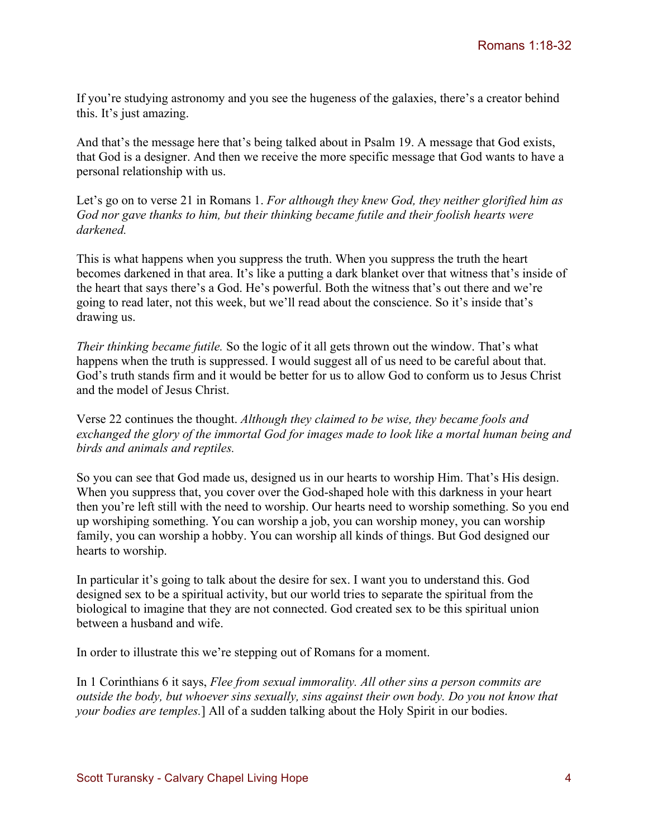If you're studying astronomy and you see the hugeness of the galaxies, there's a creator behind this. It's just amazing.

And that's the message here that's being talked about in Psalm 19. A message that God exists, that God is a designer. And then we receive the more specific message that God wants to have a personal relationship with us.

Let's go on to verse 21 in Romans 1. *For although they knew God, they neither glorified him as God nor gave thanks to him, but their thinking became futile and their foolish hearts were darkened.*

This is what happens when you suppress the truth. When you suppress the truth the heart becomes darkened in that area. It's like a putting a dark blanket over that witness that's inside of the heart that says there's a God. He's powerful. Both the witness that's out there and we're going to read later, not this week, but we'll read about the conscience. So it's inside that's drawing us.

*Their thinking became futile.* So the logic of it all gets thrown out the window. That's what happens when the truth is suppressed. I would suggest all of us need to be careful about that. God's truth stands firm and it would be better for us to allow God to conform us to Jesus Christ and the model of Jesus Christ.

Verse 22 continues the thought. *Although they claimed to be wise, they became fools and exchanged the glory of the immortal God for images made to look like a mortal human being and birds and animals and reptiles.*

So you can see that God made us, designed us in our hearts to worship Him. That's His design. When you suppress that, you cover over the God-shaped hole with this darkness in your heart then you're left still with the need to worship. Our hearts need to worship something. So you end up worshiping something. You can worship a job, you can worship money, you can worship family, you can worship a hobby. You can worship all kinds of things. But God designed our hearts to worship.

In particular it's going to talk about the desire for sex. I want you to understand this. God designed sex to be a spiritual activity, but our world tries to separate the spiritual from the biological to imagine that they are not connected. God created sex to be this spiritual union between a husband and wife.

In order to illustrate this we're stepping out of Romans for a moment.

In 1 Corinthians 6 it says, *Flee from sexual immorality. All other sins a person commits are outside the body, but whoever sins sexually, sins against their own body. Do you not know that your bodies are temples.*] All of a sudden talking about the Holy Spirit in our bodies.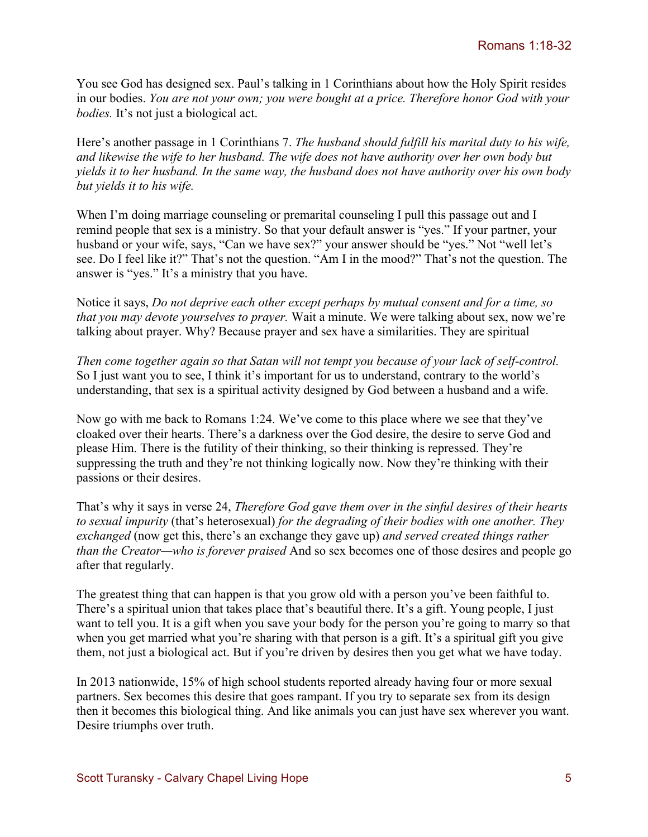You see God has designed sex. Paul's talking in 1 Corinthians about how the Holy Spirit resides in our bodies. *You are not your own; you were bought at a price. Therefore honor God with your bodies.* It's not just a biological act.

Here's another passage in 1 Corinthians 7. *The husband should fulfill his marital duty to his wife, and likewise the wife to her husband. The wife does not have authority over her own body but yields it to her husband. In the same way, the husband does not have authority over his own body but yields it to his wife.* 

When I'm doing marriage counseling or premarital counseling I pull this passage out and I remind people that sex is a ministry. So that your default answer is "yes." If your partner, your husband or your wife, says, "Can we have sex?" your answer should be "yes." Not "well let's see. Do I feel like it?" That's not the question. "Am I in the mood?" That's not the question. The answer is "yes." It's a ministry that you have.

Notice it says, *Do not deprive each other except perhaps by mutual consent and for a time, so that you may devote yourselves to prayer.* Wait a minute. We were talking about sex, now we're talking about prayer. Why? Because prayer and sex have a similarities. They are spiritual

*Then come together again so that Satan will not tempt you because of your lack of self-control.*  So I just want you to see, I think it's important for us to understand, contrary to the world's understanding, that sex is a spiritual activity designed by God between a husband and a wife.

Now go with me back to Romans 1:24. We've come to this place where we see that they've cloaked over their hearts. There's a darkness over the God desire, the desire to serve God and please Him. There is the futility of their thinking, so their thinking is repressed. They're suppressing the truth and they're not thinking logically now. Now they're thinking with their passions or their desires.

That's why it says in verse 24, *Therefore God gave them over in the sinful desires of their hearts to sexual impurity* (that's heterosexual) *for the degrading of their bodies with one another. They exchanged* (now get this, there's an exchange they gave up) *and served created things rather than the Creator—who is forever praised* And so sex becomes one of those desires and people go after that regularly.

The greatest thing that can happen is that you grow old with a person you've been faithful to. There's a spiritual union that takes place that's beautiful there. It's a gift. Young people, I just want to tell you. It is a gift when you save your body for the person you're going to marry so that when you get married what you're sharing with that person is a gift. It's a spiritual gift you give them, not just a biological act. But if you're driven by desires then you get what we have today.

In 2013 nationwide, 15% of high school students reported already having four or more sexual partners. Sex becomes this desire that goes rampant. If you try to separate sex from its design then it becomes this biological thing. And like animals you can just have sex wherever you want. Desire triumphs over truth.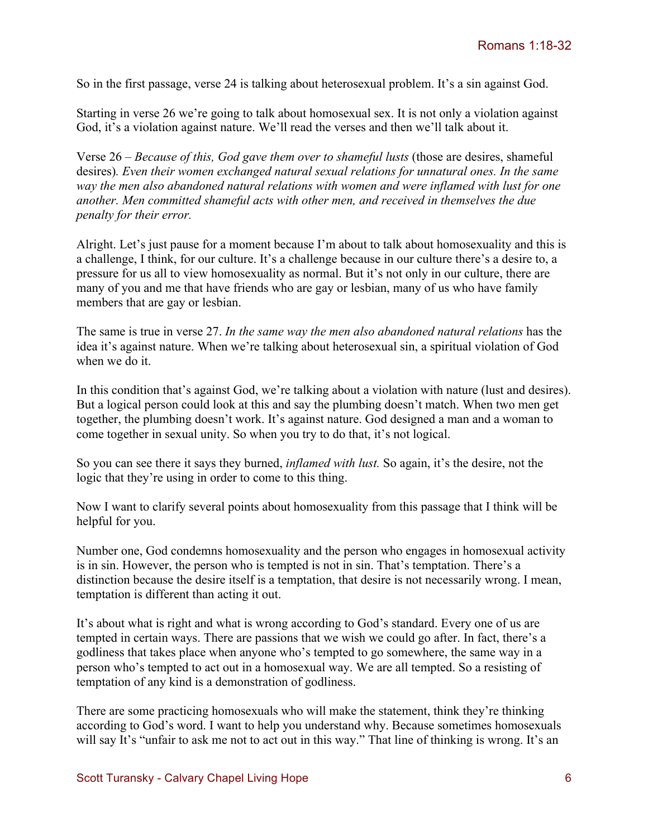So in the first passage, verse 24 is talking about heterosexual problem. It's a sin against God.

Starting in verse 26 we're going to talk about homosexual sex. It is not only a violation against God, it's a violation against nature. We'll read the verses and then we'll talk about it.

Verse 26 – *Because of this, God gave them over to shameful lusts* (those are desires, shameful desires)*. Even their women exchanged natural sexual relations for unnatural ones. In the same way the men also abandoned natural relations with women and were inflamed with lust for one another. Men committed shameful acts with other men, and received in themselves the due penalty for their error.*

Alright. Let's just pause for a moment because I'm about to talk about homosexuality and this is a challenge, I think, for our culture. It's a challenge because in our culture there's a desire to, a pressure for us all to view homosexuality as normal. But it's not only in our culture, there are many of you and me that have friends who are gay or lesbian, many of us who have family members that are gay or lesbian.

The same is true in verse 27. *In the same way the men also abandoned natural relations* has the idea it's against nature. When we're talking about heterosexual sin, a spiritual violation of God when we do it.

In this condition that's against God, we're talking about a violation with nature (lust and desires). But a logical person could look at this and say the plumbing doesn't match. When two men get together, the plumbing doesn't work. It's against nature. God designed a man and a woman to come together in sexual unity. So when you try to do that, it's not logical.

So you can see there it says they burned, *inflamed with lust.* So again, it's the desire, not the logic that they're using in order to come to this thing.

Now I want to clarify several points about homosexuality from this passage that I think will be helpful for you.

Number one, God condemns homosexuality and the person who engages in homosexual activity is in sin. However, the person who is tempted is not in sin. That's temptation. There's a distinction because the desire itself is a temptation, that desire is not necessarily wrong. I mean, temptation is different than acting it out.

It's about what is right and what is wrong according to God's standard. Every one of us are tempted in certain ways. There are passions that we wish we could go after. In fact, there's a godliness that takes place when anyone who's tempted to go somewhere, the same way in a person who's tempted to act out in a homosexual way. We are all tempted. So a resisting of temptation of any kind is a demonstration of godliness.

There are some practicing homosexuals who will make the statement, think they're thinking according to God's word. I want to help you understand why. Because sometimes homosexuals will say It's "unfair to ask me not to act out in this way." That line of thinking is wrong. It's an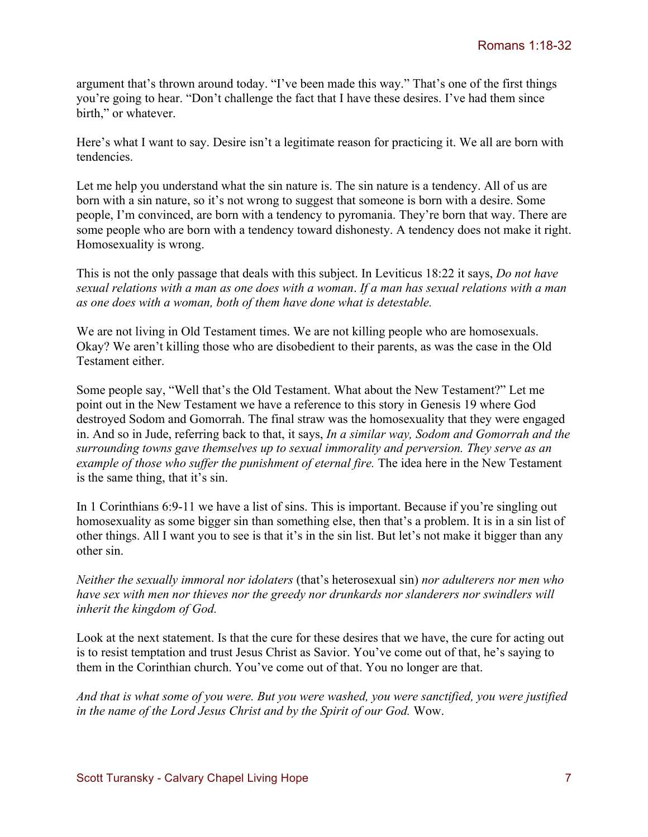argument that's thrown around today. "I've been made this way." That's one of the first things you're going to hear. "Don't challenge the fact that I have these desires. I've had them since birth," or whatever.

Here's what I want to say. Desire isn't a legitimate reason for practicing it. We all are born with tendencies.

Let me help you understand what the sin nature is. The sin nature is a tendency. All of us are born with a sin nature, so it's not wrong to suggest that someone is born with a desire. Some people, I'm convinced, are born with a tendency to pyromania. They're born that way. There are some people who are born with a tendency toward dishonesty. A tendency does not make it right. Homosexuality is wrong.

This is not the only passage that deals with this subject. In Leviticus 18:22 it says, *Do not have sexual relations with a man as one does with a woman*. *If a man has sexual relations with a man as one does with a woman, both of them have done what is detestable.* 

We are not living in Old Testament times. We are not killing people who are homosexuals. Okay? We aren't killing those who are disobedient to their parents, as was the case in the Old Testament either.

Some people say, "Well that's the Old Testament. What about the New Testament?" Let me point out in the New Testament we have a reference to this story in Genesis 19 where God destroyed Sodom and Gomorrah. The final straw was the homosexuality that they were engaged in. And so in Jude, referring back to that, it says, *In a similar way, Sodom and Gomorrah and the surrounding towns gave themselves up to sexual immorality and perversion. They serve as an example of those who suffer the punishment of eternal fire.* The idea here in the New Testament is the same thing, that it's sin.

In 1 Corinthians 6:9-11 we have a list of sins. This is important. Because if you're singling out homosexuality as some bigger sin than something else, then that's a problem. It is in a sin list of other things. All I want you to see is that it's in the sin list. But let's not make it bigger than any other sin.

*Neither the sexually immoral nor idolaters* (that's heterosexual sin) *nor adulterers nor men who have sex with men nor thieves nor the greedy nor drunkards nor slanderers nor swindlers will inherit the kingdom of God.* 

Look at the next statement. Is that the cure for these desires that we have, the cure for acting out is to resist temptation and trust Jesus Christ as Savior. You've come out of that, he's saying to them in the Corinthian church. You've come out of that. You no longer are that.

*And that is what some of you were. But you were washed, you were sanctified, you were justified in the name of the Lord Jesus Christ and by the Spirit of our God.* Wow.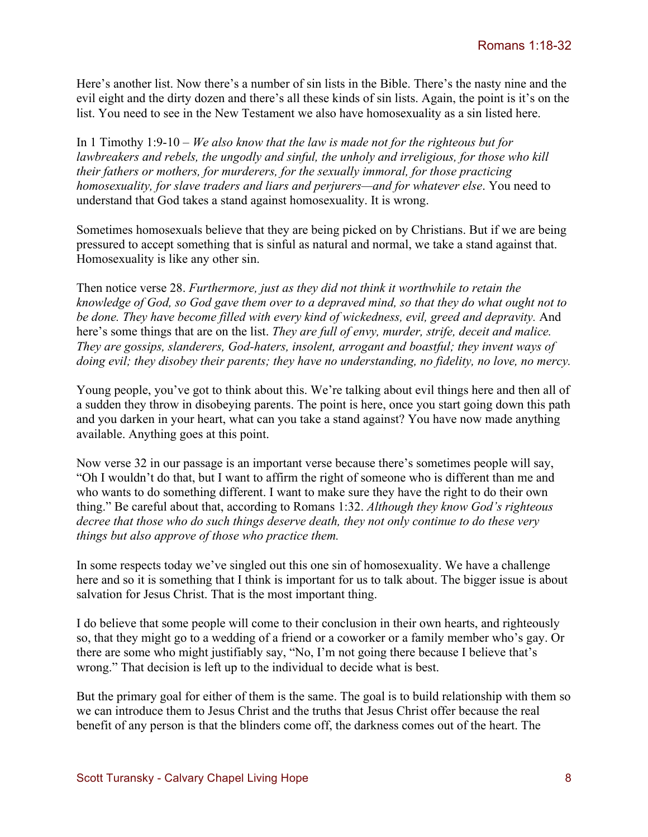Here's another list. Now there's a number of sin lists in the Bible. There's the nasty nine and the evil eight and the dirty dozen and there's all these kinds of sin lists. Again, the point is it's on the list. You need to see in the New Testament we also have homosexuality as a sin listed here.

In 1 Timothy 1:9-10 – *We also know that the law is made not for the righteous but for lawbreakers and rebels, the ungodly and sinful, the unholy and irreligious, for those who kill their fathers or mothers, for murderers, for the sexually immoral, for those practicing homosexuality, for slave traders and liars and perjurers—and for whatever else*. You need to understand that God takes a stand against homosexuality. It is wrong.

Sometimes homosexuals believe that they are being picked on by Christians. But if we are being pressured to accept something that is sinful as natural and normal, we take a stand against that. Homosexuality is like any other sin.

Then notice verse 28. *Furthermore, just as they did not think it worthwhile to retain the knowledge of God, so God gave them over to a depraved mind, so that they do what ought not to be done. They have become filled with every kind of wickedness, evil, greed and depravity.* And here's some things that are on the list. *They are full of envy, murder, strife, deceit and malice. They are gossips, slanderers, God-haters, insolent, arrogant and boastful; they invent ways of doing evil; they disobey their parents; they have no understanding, no fidelity, no love, no mercy.* 

Young people, you've got to think about this. We're talking about evil things here and then all of a sudden they throw in disobeying parents. The point is here, once you start going down this path and you darken in your heart, what can you take a stand against? You have now made anything available. Anything goes at this point.

Now verse 32 in our passage is an important verse because there's sometimes people will say, "Oh I wouldn't do that, but I want to affirm the right of someone who is different than me and who wants to do something different. I want to make sure they have the right to do their own thing." Be careful about that, according to Romans 1:32. *Although they know God's righteous decree that those who do such things deserve death, they not only continue to do these very things but also approve of those who practice them.* 

In some respects today we've singled out this one sin of homosexuality. We have a challenge here and so it is something that I think is important for us to talk about. The bigger issue is about salvation for Jesus Christ. That is the most important thing.

I do believe that some people will come to their conclusion in their own hearts, and righteously so, that they might go to a wedding of a friend or a coworker or a family member who's gay. Or there are some who might justifiably say, "No, I'm not going there because I believe that's wrong." That decision is left up to the individual to decide what is best.

But the primary goal for either of them is the same. The goal is to build relationship with them so we can introduce them to Jesus Christ and the truths that Jesus Christ offer because the real benefit of any person is that the blinders come off, the darkness comes out of the heart. The